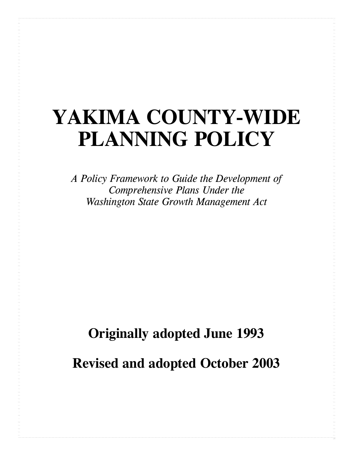# **YAKIMA COUNTY-WIDE PLANNING POLICY**

*A Policy Framework to Guide the Development of Comprehensive Plans Under the Washington State Growth Management Act*

# **Originally adopted June 1993**

**Revised and adopted October 2003**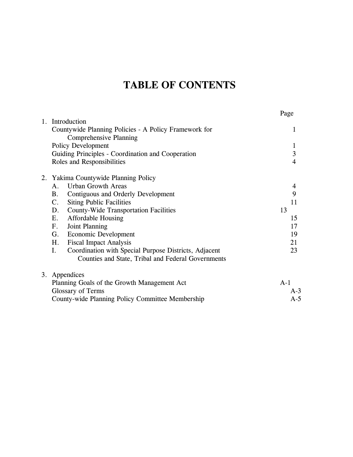# **TABLE OF CONTENTS**

|                |                                                                                        | Page                    |
|----------------|----------------------------------------------------------------------------------------|-------------------------|
| $\mathbf{1}$ . | Introduction                                                                           |                         |
|                | Countywide Planning Policies - A Policy Framework for<br><b>Comprehensive Planning</b> | 1                       |
|                | Policy Development                                                                     | $\mathbf{1}$            |
|                | Guiding Principles - Coordination and Cooperation                                      | $\overline{\mathbf{3}}$ |
|                | Roles and Responsibilities                                                             | $\overline{4}$          |
|                | 2. Yakima Countywide Planning Policy                                                   |                         |
|                | <b>Urban Growth Areas</b><br>A.                                                        | 4                       |
|                | <b>B.</b><br>Contiguous and Orderly Development                                        | 9                       |
|                | $\mathbf{C}$ .<br><b>Siting Public Facilities</b>                                      | 11                      |
|                | <b>County-Wide Transportation Facilities</b><br>D.                                     | 13                      |
|                | E.<br><b>Affordable Housing</b>                                                        | 15                      |
|                | Joint Planning<br>$F_{\cdot}$                                                          | 17                      |
|                | <b>Economic Development</b><br>G.                                                      | 19                      |
|                | <b>Fiscal Impact Analysis</b><br>Η.                                                    | 21                      |
|                | I.<br>Coordination with Special Purpose Districts, Adjacent                            | 23                      |
|                | Counties and State, Tribal and Federal Governments                                     |                         |
|                | 3. Appendices                                                                          |                         |
|                | Planning Goals of the Growth Management Act                                            | $A-1$                   |
|                | Glossary of Terms                                                                      | A-3                     |
|                | County-wide Planning Policy Committee Membership                                       | $A-5$                   |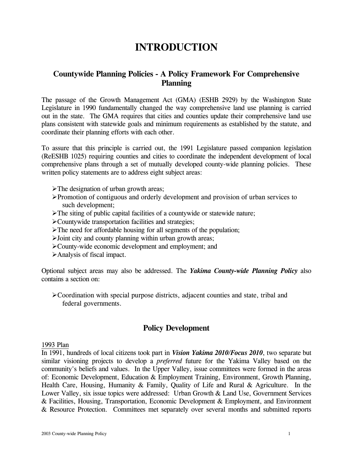## **INTRODUCTION**

#### **Countywide Planning Policies - A Policy Framework For Comprehensive Planning**

The passage of the Growth Management Act (GMA) (ESHB 2929) by the Washington State Legislature in 1990 fundamentally changed the way comprehensive land use planning is carried out in the state. The GMA requires that cities and counties update their comprehensive land use plans consistent with statewide goals and minimum requirements as established by the statute, and coordinate their planning efforts with each other.

To assure that this principle is carried out, the 1991 Legislature passed companion legislation (ReESHB 1025) requiring counties and cities to coordinate the independent development of local comprehensive plans through a set of mutually developed county-wide planning policies. These written policy statements are to address eight subject areas:

- $\blacktriangleright$ The designation of urban growth areas;
- ¾Promotion of contiguous and orderly development and provision of urban services to such development;
- $\triangleright$ The siting of public capital facilities of a countywide or statewide nature;
- ¾Countywide transportation facilities and strategies;
- $\blacktriangleright$ The need for affordable housing for all segments of the population;
- ¾Joint city and county planning within urban growth areas;
- ¾County-wide economic development and employment; and
- ¾Analysis of fiscal impact.

Optional subject areas may also be addressed. The *Yakima County-wide Planning Policy* also contains a section on:

¾Coordination with special purpose districts, adjacent counties and state, tribal and federal governments.

#### **Policy Development**

#### 1993 Plan

In 1991, hundreds of local citizens took part in *Vision Yakima 2010/Focus 2010*, two separate but similar visioning projects to develop a *preferred* future for the Yakima Valley based on the community's beliefs and values. In the Upper Valley, issue committees were formed in the areas of: Economic Development, Education & Employment Training, Environment, Growth Planning, Health Care, Housing, Humanity & Family, Quality of Life and Rural & Agriculture. In the Lower Valley, six issue topics were addressed: Urban Growth & Land Use, Government Services & Facilities, Housing, Transportation, Economic Development & Employment, and Environment & Resource Protection. Committees met separately over several months and submitted reports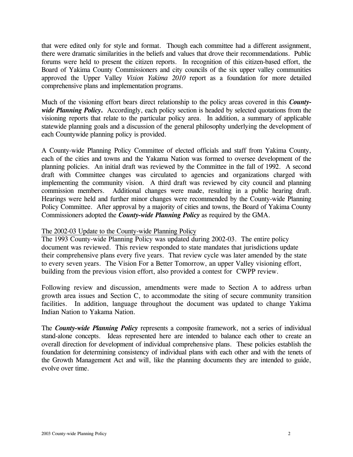that were edited only for style and format. Though each committee had a different assignment, there were dramatic similarities in the beliefs and values that drove their recommendations. Public forums were held to present the citizen reports. In recognition of this citizen-based effort, the Board of Yakima County Commissioners and city councils of the six upper valley communities approved the Upper Valley *Vision Yakima 2010* report as a foundation for more detailed comprehensive plans and implementation programs.

Much of the visioning effort bears direct relationship to the policy areas covered in this *County*wide Planning Policy. Accordingly, each policy section is headed by selected quotations from the visioning reports that relate to the particular policy area. In addition, a summary of applicable statewide planning goals and a discussion of the general philosophy underlying the development of each Countywide planning policy is provided.

A County-wide Planning Policy Committee of elected officials and staff from Yakima County, each of the cities and towns and the Yakama Nation was formed to oversee development of the planning policies. An initial draft was reviewed by the Committee in the fall of 1992. A second draft with Committee changes was circulated to agencies and organizations charged with implementing the community vision. A third draft was reviewed by city council and planning commission members. Additional changes were made, resulting in a public hearing draft. Hearings were held and further minor changes were recommended by the County-wide Planning Policy Committee. After approval by a majority of cities and towns, the Board of Yakima County Commissioners adopted the *County-wide Planning Policy* as required by the GMA.

#### The 2002-03 Update to the County-wide Planning Policy

The 1993 County-wide Planning Policy was updated during 2002-03. The entire policy document was reviewed. This review responded to state mandates that jurisdictions update their comprehensive plans every five years. That review cycle was later amended by the state to every seven years. The Vision For a Better Tomorrow, an upper Valley visioning effort, building from the previous vision effort, also provided a contest for CWPP review.

Following review and discussion, amendments were made to Section A to address urban growth area issues and Section C, to accommodate the siting of secure community transition facilities. In addition, language throughout the document was updated to change Yakima Indian Nation to Yakama Nation.

The *County-wide Planning Policy* represents a composite framework, not a series of individual stand-alone concepts. Ideas represented here are intended to balance each other to create an overall direction for development of individual comprehensive plans. These policies establish the foundation for determining consistency of individual plans with each other and with the tenets of the Growth Management Act and will, like the planning documents they are intended to guide, evolve over time.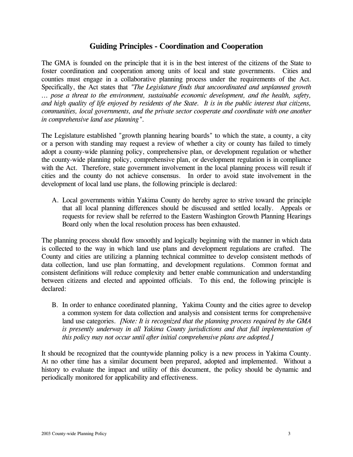#### **Guiding Principles - Coordination and Cooperation**

The GMA is founded on the principle that it is in the best interest of the citizens of the State to foster coordination and cooperation among units of local and state governments. Cities and counties must engage in a collaborative planning process under the requirements of the Act. Specifically, the Act states that *"The Legislature finds that uncoordinated and unplanned growth ... pose a threat to the environment, sustainable economic development, and the health, safety, and high quality of life enjoyed by residents of the State. It is in the public interest that citizens, communities, local governments, and the private sector cooperate and coordinate with one another in comprehensive land use planning"*.

The Legislature established "growth planning hearing boards" to which the state, a county, a city or a person with standing may request a review of whether a city or county has failed to timely adopt a county-wide planning policy, comprehensive plan, or development regulation or whether the county-wide planning policy, comprehensive plan, or development regulation is in compliance with the Act. Therefore, state government involvement in the local planning process will result if cities and the county do not achieve consensus. In order to avoid state involvement in the development of local land use plans, the following principle is declared:

 A. Local governments within Yakima County do hereby agree to strive toward the principle that all local planning differences should be discussed and settled locally. Appeals or requests for review shall be referred to the Eastern Washington Growth Planning Hearings Board only when the local resolution process has been exhausted.

The planning process should flow smoothly and logically beginning with the manner in which data is collected to the way in which land use plans and development regulations are crafted. The County and cities are utilizing a planning technical committee to develop consistent methods of data collection, land use plan formatting, and development regulations. Common format and consistent definitions will reduce complexity and better enable communication and understanding between citizens and elected and appointed officials. To this end, the following principle is declared:

 B. In order to enhance coordinated planning, Yakima County and the cities agree to develop a common system for data collection and analysis and consistent terms for comprehensive land use categories. *[Note: It is recognized that the planning process required by the GMA is presently underway in all Yakima County jurisdictions and that full implementation of this policy may not occur until after initial comprehensive plans are adopted.]*

It should be recognized that the countywide planning policy is a new process in Yakima County. At no other time has a similar document been prepared, adopted and implemented. Without a history to evaluate the impact and utility of this document, the policy should be dynamic and periodically monitored for applicability and effectiveness.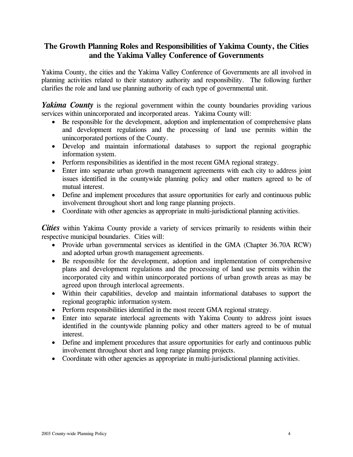#### **The Growth Planning Roles and Responsibilities of Yakima County, the Cities and the Yakima Valley Conference of Governments**

Yakima County, the cities and the Yakima Valley Conference of Governments are all involved in planning activities related to their statutory authority and responsibility. The following further clarifies the role and land use planning authority of each type of governmental unit.

*Yakima County* is the regional government within the county boundaries providing various services within unincorporated and incorporated areas. Yakima County will:

- Be responsible for the development, adoption and implementation of comprehensive plans and development regulations and the processing of land use permits within the unincorporated portions of the County.
- Develop and maintain informational databases to support the regional geographic information system.
- Perform responsibilities as identified in the most recent GMA regional strategy.
- Enter into separate urban growth management agreements with each city to address joint issues identified in the countywide planning policy and other matters agreed to be of mutual interest.
- Define and implement procedures that assure opportunities for early and continuous public involvement throughout short and long range planning projects.
- Coordinate with other agencies as appropriate in multi-jurisdictional planning activities.

*Cities* within Yakima County provide a variety of services primarily to residents within their respective municipal boundaries. Cities will:

- Provide urban governmental services as identified in the GMA (Chapter 36.70A RCW) and adopted urban growth management agreements.
- Be responsible for the development, adoption and implementation of comprehensive plans and development regulations and the processing of land use permits within the incorporated city and within unincorporated portions of urban growth areas as may be agreed upon through interlocal agreements.
- Within their capabilities, develop and maintain informational databases to support the regional geographic information system.
- Perform responsibilities identified in the most recent GMA regional strategy.
- Enter into separate interlocal agreements with Yakima County to address joint issues identified in the countywide planning policy and other matters agreed to be of mutual interest.
- Define and implement procedures that assure opportunities for early and continuous public involvement throughout short and long range planning projects.
- Coordinate with other agencies as appropriate in multi-jurisdictional planning activities.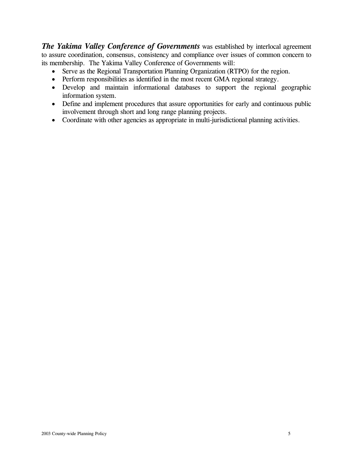*The Yakima Valley Conference of Governments* was established by interlocal agreement to assure coordination, consensus, consistency and compliance over issues of common concern to its membership. The Yakima Valley Conference of Governments will:

- Serve as the Regional Transportation Planning Organization (RTPO) for the region.
- Perform responsibilities as identified in the most recent GMA regional strategy.
- Develop and maintain informational databases to support the regional geographic information system.
- Define and implement procedures that assure opportunities for early and continuous public involvement through short and long range planning projects.
- Coordinate with other agencies as appropriate in multi-jurisdictional planning activities.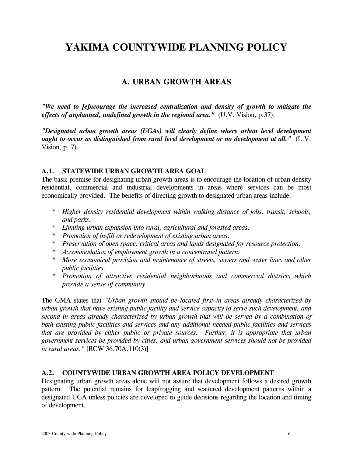# **YAKIMA COUNTYWIDE PLANNING POLICY**

#### **A. URBAN GROWTH AREAS**

*"We need to [e]ncourage the increased centralization and density of growth to mitigate the effects of unplanned, undefined growth in the regional area."*(U.V. Vision, p.37).

*"Designated urban growth areas (UGAs) will clearly define where urban level development ought to occur as distinguished from rural level development or no development at all."* (L.V. Vision, p. 7).

#### **A.1. STATEWIDE URBAN GROWTH AREA GOAL**

The basic premise for designating urban growth areas is to encourage the location of urban density residential, commercial and industrial developments in areas where services can be most economically provided. The benefits of directing growth to designated urban areas include:

- *\* Higher density residential development within walking distance of jobs, transit, schools, and parks.*
- *\* Limiting urban expansion into rural, agricultural and forested areas.*
- *\* Promotion of in-fill or redevelopment of existing urban areas.*
- *\* Preservation of open space, critical areas and lands designated for resource protection.*
- *\* Accommodation of employment growth in a concentrated pattern.*
- *\* More economical provision and maintenance of streets, sewers and water lines and other public facilities.*
- *\* Promotion of attractive residential neighborhoods and commercial districts which provide a sense of community.*

The GMA states that *"Urban growth should be located first in areas already characterized by urban growth that have existing public facility and service capacity to serve such development, and second in areas already characterized by urban growth that will be served by a combination of both existing public facilities and services and any additional needed public facilities and services that are provided by either public or private sources. Further, it is appropriate that urban government services be provided by cities, and urban government services should not be provided in rural areas."* [RCW 36.70A.110(3)]

#### **A.2. COUNTYWIDE URBAN GROWTH AREA POLICY DEVELOPMENT**

Designating urban growth areas alone will not assure that development follows a desired growth pattern. The potential remains for leapfrogging and scattered development patterns within a designated UGA unless policies are developed to guide decisions regarding the location and timing of development.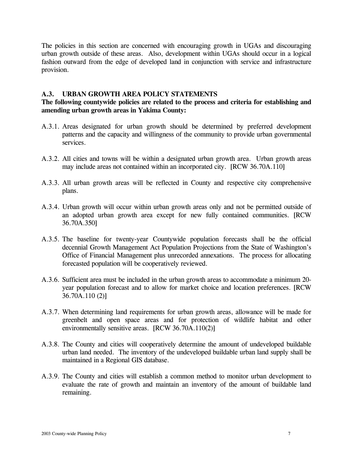The policies in this section are concerned with encouraging growth in UGAs and discouraging urban growth outside of these areas. Also, development within UGAs should occur in a logical fashion outward from the edge of developed land in conjunction with service and infrastructure provision.

#### **A.3. URBAN GROWTH AREA POLICY STATEMENTS**

#### **The following countywide policies are related to the process and criteria for establishing and amending urban growth areas in Yakima County:**

- A.3.1. Areas designated for urban growth should be determined by preferred development patterns and the capacity and willingness of the community to provide urban governmental services.
- A.3.2. All cities and towns will be within a designated urban growth area. Urban growth areas may include areas not contained within an incorporated city. [RCW 36.70A.110]
- A.3.3. All urban growth areas will be reflected in County and respective city comprehensive plans.
- A.3.4. Urban growth will occur within urban growth areas only and not be permitted outside of an adopted urban growth area except for new fully contained communities. [RCW 36.70A.350]
- A.3.5. The baseline for twenty-year Countywide population forecasts shall be the official decennial Growth Management Act Population Projections from the State of Washington's Office of Financial Management plus unrecorded annexations. The process for allocating forecasted population will be cooperatively reviewed.
- A.3.6. Sufficient area must be included in the urban growth areas to accommodate a minimum 20 year population forecast and to allow for market choice and location preferences. [RCW 36.70A.110 (2)]
- A.3.7. When determining land requirements for urban growth areas, allowance will be made for greenbelt and open space areas and for protection of wildlife habitat and other environmentally sensitive areas. [RCW 36.70A.110(2)]
- A.3.8. The County and cities will cooperatively determine the amount of undeveloped buildable urban land needed. The inventory of the undeveloped buildable urban land supply shall be maintained in a Regional GIS database.
- A.3.9. The County and cities will establish a common method to monitor urban development to evaluate the rate of growth and maintain an inventory of the amount of buildable land remaining.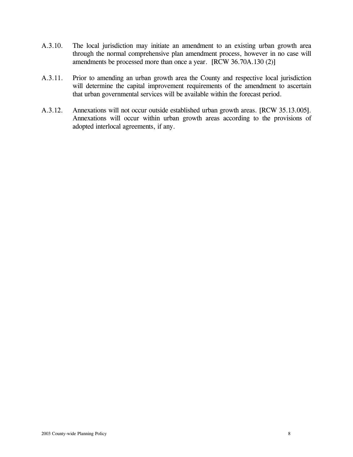- A.3.10. The local jurisdiction may initiate an amendment to an existing urban growth area through the normal comprehensive plan amendment process, however in no case will amendments be processed more than once a year. [RCW 36.70A.130 (2)]
- A.3.11. Prior to amending an urban growth area the County and respective local jurisdiction will determine the capital improvement requirements of the amendment to ascertain that urban governmental services will be available within the forecast period.
- A.3.12. Annexations will not occur outside established urban growth areas. [RCW 35.13.005]. Annexations will occur within urban growth areas according to the provisions of adopted interlocal agreements, if any.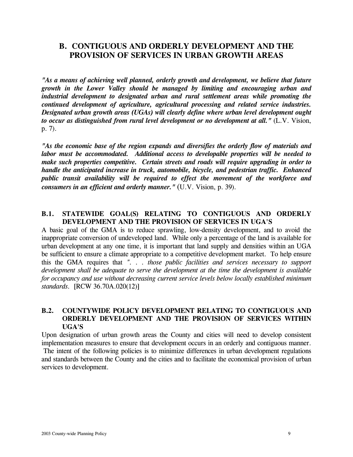#### **B. CONTIGUOUS AND ORDERLY DEVELOPMENT AND THE PROVISION OF SERVICES IN URBAN GROWTH AREAS**

*"As a means of achieving well planned, orderly growth and development, we believe that future growth in the Lower Valley should be managed by limiting and encouraging urban and industrial development to designated urban and rural settlement areas while promoting the continued development of agriculture, agricultural processing and related service industries. Designated urban growth areas (UGAs) will clearly define where urban level development ought to occur as distinguished from rural level development or no development at all."* (L.V. Vision, p. 7).

*"As the economic base of the region expands and diversifies the orderly flow of materials and labor must be accommodated. Additional access to developable properties will be needed to make such properties competitive. Certain streets and roads will require upgrading in order to handle the anticipated increase in truck, automobile, bicycle, and pedestrian traffic. Enhanced public transit availability will be required to effect the movement of the workforce and consumers in an efficient and orderly manner."* (U.V. Vision, p. 39).

#### **B.1. STATEWIDE GOAL(S) RELATING TO CONTIGUOUS AND ORDERLY DEVELOPMENT AND THE PROVISION OF SERVICES IN UGA'S**

A basic goal of the GMA is to reduce sprawling, low-density development, and to avoid the inappropriate conversion of undeveloped land. While only a percentage of the land is available for urban development at any one time, it is important that land supply and densities within an UGA be sufficient to ensure a climate appropriate to a competitive development market. To help ensure this the GMA requires that *". . . those public facilities and services necessary to support development shall be adequate to serve the development at the time the development is available for occupancy and use without decreasing current service levels below locally established minimum standards.* [RCW 36.70A.020(12)]

#### **B.2. COUNTYWIDE POLICY DEVELOPMENT RELATING TO CONTIGUOUS AND ORDERLY DEVELOPMENT AND THE PROVISION OF SERVICES WITHIN UGA'S**

Upon designation of urban growth areas the County and cities will need to develop consistent implementation measures to ensure that development occurs in an orderly and contiguous manner. The intent of the following policies is to minimize differences in urban development regulations and standards between the County and the cities and to facilitate the economical provision of urban services to development.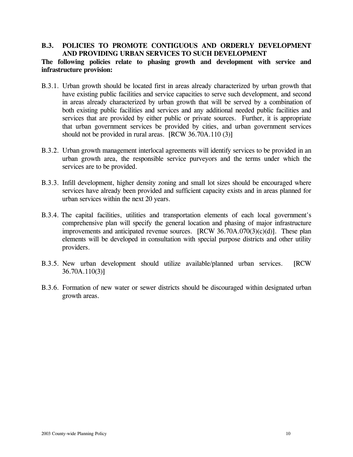#### **B.3. POLICIES TO PROMOTE CONTIGUOUS AND ORDERLY DEVELOPMENT AND PROVIDING URBAN SERVICES TO SUCH DEVELOPMENT**

#### **The following policies relate to phasing growth and development with service and infrastructure provision:**

- B.3.1. Urban growth should be located first in areas already characterized by urban growth that have existing public facilities and service capacities to serve such development, and second in areas already characterized by urban growth that will be served by a combination of both existing public facilities and services and any additional needed public facilities and services that are provided by either public or private sources. Further, it is appropriate that urban government services be provided by cities, and urban government services should not be provided in rural areas. [RCW 36.70A.110 (3)]
- B.3.2. Urban growth management interlocal agreements will identify services to be provided in an urban growth area, the responsible service purveyors and the terms under which the services are to be provided.
- B.3.3. Infill development, higher density zoning and small lot sizes should be encouraged where services have already been provided and sufficient capacity exists and in areas planned for urban services within the next 20 years.
- B.3.4. The capital facilities, utilities and transportation elements of each local government's comprehensive plan will specify the general location and phasing of major infrastructure improvements and anticipated revenue sources. [RCW 36.70A.070(3)(c)(d)]. These plan elements will be developed in consultation with special purpose districts and other utility providers.
- B.3.5. New urban development should utilize available/planned urban services. [RCW 36.70A.110(3)]
- B.3.6. Formation of new water or sewer districts should be discouraged within designated urban growth areas.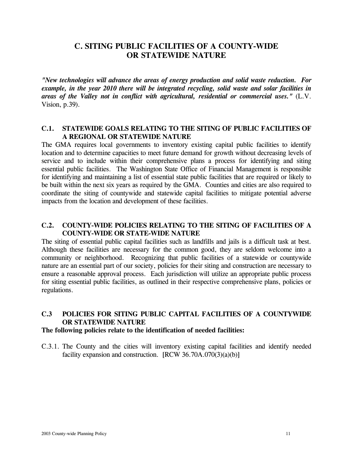#### **C. SITING PUBLIC FACILITIES OF A COUNTY-WIDE OR STATEWIDE NATURE**

*"New technologies will advance the areas of energy production and solid waste reduction. For example, in the year 2010 there will be integrated recycling, solid waste and solar facilities in areas of the Valley not in conflict with agricultural, residential or commercial uses."* (L.V. Vision, p.39).

#### **C.1. STATEWIDE GOALS RELATING TO THE SITING OF PUBLIC FACILITIES OF A REGIONAL OR STATEWIDE NATURE**

The GMA requires local governments to inventory existing capital public facilities to identify location and to determine capacities to meet future demand for growth without decreasing levels of service and to include within their comprehensive plans a process for identifying and siting essential public facilities. The Washington State Office of Financial Management is responsible for identifying and maintaining a list of essential state public facilities that are required or likely to be built within the next six years as required by the GMA. Counties and cities are also required to coordinate the siting of countywide and statewide capital facilities to mitigate potential adverse impacts from the location and development of these facilities.

#### **C.2. COUNTY-WIDE POLICIES RELATING TO THE SITING OF FACILITIES OF A COUNTY-WIDE OR STATE-WIDE NATURE**

The siting of essential public capital facilities such as landfills and jails is a difficult task at best. Although these facilities are necessary for the common good, they are seldom welcome into a community or neighborhood. Recognizing that public facilities of a statewide or countywide nature are an essential part of our society, policies for their siting and construction are necessary to ensure a reasonable approval process. Each jurisdiction will utilize an appropriate public process for siting essential public facilities, as outlined in their respective comprehensive plans, policies or regulations.

#### **C.3 POLICIES FOR SITING PUBLIC CAPITAL FACILITIES OF A COUNTYWIDE OR STATEWIDE NATURE**

#### **The following policies relate to the identification of needed facilities:**

C.3.1. The County and the cities will inventory existing capital facilities and identify needed facility expansion and construction.  $[RCW 36.70A.070(3)(a)(b)]$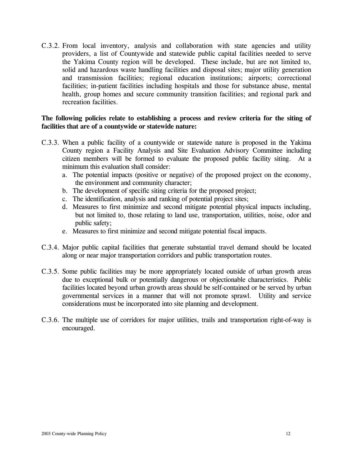C.3.2. From local inventory, analysis and collaboration with state agencies and utility providers, a list of Countywide and statewide public capital facilities needed to serve the Yakima County region will be developed. These include, but are not limited to, solid and hazardous waste handling facilities and disposal sites; major utility generation and transmission facilities; regional education institutions; airports; correctional facilities; in-patient facilities including hospitals and those for substance abuse, mental health, group homes and secure community transition facilities; and regional park and recreation facilities.

#### **The following policies relate to establishing a process and review criteria for the siting of facilities that are of a countywide or statewide nature:**

- C.3.3. When a public facility of a countywide or statewide nature is proposed in the Yakima County region a Facility Analysis and Site Evaluation Advisory Committee including citizen members will be formed to evaluate the proposed public facility siting. At a minimum this evaluation shall consider:
	- a. The potential impacts (positive or negative) of the proposed project on the economy, the environment and community character;
	- b. The development of specific siting criteria for the proposed project;
	- c. The identification, analysis and ranking of potential project sites;
	- d. Measures to first minimize and second mitigate potential physical impacts including, but not limited to, those relating to land use, transportation, utilities, noise, odor and public safety;
	- e. Measures to first minimize and second mitigate potential fiscal impacts.
- C.3.4. Major public capital facilities that generate substantial travel demand should be located along or near major transportation corridors and public transportation routes.
- C.3.5. Some public facilities may be more appropriately located outside of urban growth areas due to exceptional bulk or potentially dangerous or objectionable characteristics. Public facilities located beyond urban growth areas should be self-contained or be served by urban governmental services in a manner that will not promote sprawl. Utility and service considerations must be incorporated into site planning and development.
- C.3.6. The multiple use of corridors for major utilities, trails and transportation right-of-way is encouraged.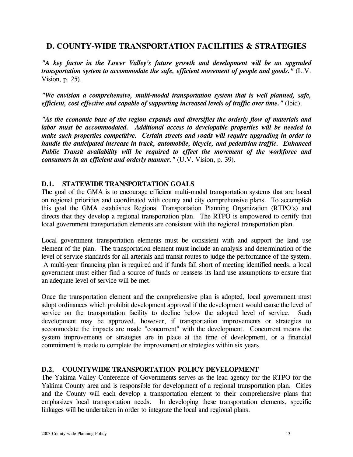#### **D. COUNTY-WIDE TRANSPORTATION FACILITIES & STRATEGIES**

*"A key factor in the Lower Valley's future growth and development will be an upgraded transportation system to accommodate the safe, efficient movement of people and goods."* (L.V. Vision, p. 25).

*"We envision a comprehensive, multi-modal transportation system that is well planned, safe, efficient, cost effective and capable of supporting increased levels of traffic over time."* (Ibid).

*"As the economic base of the region expands and diversifies the orderly flow of materials and labor must be accommodated. Additional access to developable properties will be needed to make such properties competitive. Certain streets and roads will require upgrading in order to handle the anticipated increase in truck, automobile, bicycle, and pedestrian traffic. Enhanced Public Transit availability will be required to effect the movement of the workforce and consumers in an efficient and orderly manner."* (U.V. Vision, p. 39).

#### **D.1. STATEWIDE TRANSPORTATION GOALS**

The goal of the GMA is to encourage efficient multi-modal transportation systems that are based on regional priorities and coordinated with county and city comprehensive plans. To accomplish this goal the GMA establishes Regional Transportation Planning Organization (RTPO's) and directs that they develop a regional transportation plan. The RTPO is empowered to certify that local government transportation elements are consistent with the regional transportation plan.

Local government transportation elements must be consistent with and support the land use element of the plan. The transportation element must include an analysis and determination of the level of service standards for all arterials and transit routes to judge the performance of the system. A multi-year financing plan is required and if funds fall short of meeting identified needs, a local government must either find a source of funds or reassess its land use assumptions to ensure that an adequate level of service will be met.

Once the transportation element and the comprehensive plan is adopted, local government must adopt ordinances which prohibit development approval if the development would cause the level of service on the transportation facility to decline below the adopted level of service. Such development may be approved, however, if transportation improvements or strategies to accommodate the impacts are made "concurrent" with the development. Concurrent means the system improvements or strategies are in place at the time of development, or a financial commitment is made to complete the improvement or strategies within six years.

#### **D.2. COUNTYWIDE TRANSPORTATION POLICY DEVELOPMENT**

The Yakima Valley Conference of Governments serves as the lead agency for the RTPO for the Yakima County area and is responsible for development of a regional transportation plan. Cities and the County will each develop a transportation element to their comprehensive plans that emphasizes local transportation needs. In developing these transportation elements, specific linkages will be undertaken in order to integrate the local and regional plans.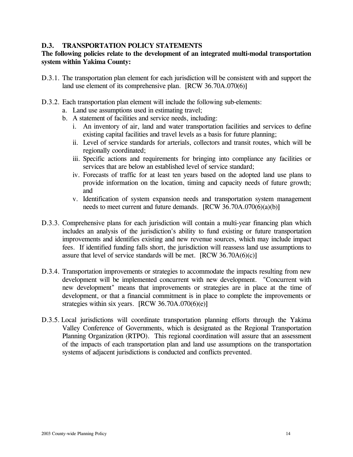#### **D.3. TRANSPORTATION POLICY STATEMENTS**

#### **The following policies relate to the development of an integrated multi-modal transportation system within Yakima County:**

- D.3.1. The transportation plan element for each jurisdiction will be consistent with and support the land use element of its comprehensive plan. [RCW 36.70A.070(6)]
- D.3.2. Each transportation plan element will include the following sub-elements:
	- a. Land use assumptions used in estimating travel;
	- b. A statement of facilities and service needs, including:
		- i. An inventory of air, land and water transportation facilities and services to define existing capital facilities and travel levels as a basis for future planning;
		- ii. Level of service standards for arterials, collectors and transit routes, which will be regionally coordinated;
		- iii. Specific actions and requirements for bringing into compliance any facilities or services that are below an established level of service standard;
		- iv. Forecasts of traffic for at least ten years based on the adopted land use plans to provide information on the location, timing and capacity needs of future growth; and
		- v. Identification of system expansion needs and transportation system management needs to meet current and future demands. [RCW 36.70A.070(6)(a)(b)]
- D.3.3. Comprehensive plans for each jurisdiction will contain a multi-year financing plan which includes an analysis of the jurisdiction's ability to fund existing or future transportation improvements and identifies existing and new revenue sources, which may include impact fees. If identified funding falls short, the jurisdiction will reassess land use assumptions to assure that level of service standards will be met.  $[RCW 36.70A(6)(c)]$
- D.3.4. Transportation improvements or strategies to accommodate the impacts resulting from new development will be implemented concurrent with new development. "Concurrent with new development" means that improvements or strategies are in place at the time of development, or that a financial commitment is in place to complete the improvements or strategies within six years.  $[RCW 36.70A.070(6)(e)]$
- D.3.5. Local jurisdictions will coordinate transportation planning efforts through the Yakima Valley Conference of Governments, which is designated as the Regional Transportation Planning Organization (RTPO). This regional coordination will assure that an assessment of the impacts of each transportation plan and land use assumptions on the transportation systems of adjacent jurisdictions is conducted and conflicts prevented.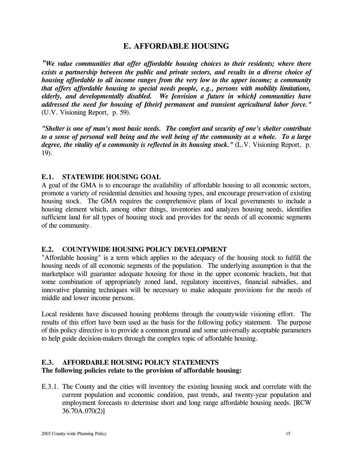#### **E. AFFORDABLE HOUSING**

*"We value communities that offer affordable housing choices to their residents; where there exists a partnership between the public and private sectors, and results in a diverse choice of housing affordable to all income ranges from the very low to the upper income; a community that offers affordable housing to special needs people, e.g., persons with mobility limitations, elderly, and developmentally disabled. We [envision a future in which] communities have addressed the need for housing of [their] permanent and transient agricultural labor force."*  (U.V. Visioning Report, p. 59).

*"Shelter is one of man's most basic needs. The comfort and security of one's shelter contribute to a sense of personal well being and the well being of the community as a whole. To a large degree, the vitality of a community is reflected in its housing stock."* (L.V. Visioning Report, p. 19).

#### **E.1. STATEWIDE HOUSING GOAL**

A goal of the GMA is to encourage the availability of affordable housing to all economic sectors, promote a variety of residential densities and housing types, and encourage preservation of existing housing stock. The GMA requires the comprehensive plans of local governments to include a housing element which, among other things, inventories and analyzes housing needs, identifies sufficient land for all types of housing stock and provides for the needs of all economic segments of the community.

#### **E.2. COUNTYWIDE HOUSING POLICY DEVELOPMENT**

"Affordable housing" is a term which applies to the adequacy of the housing stock to fulfill the housing needs of all economic segments of the population. The underlying assumption is that the marketplace will guarantee adequate housing for those in the upper economic brackets, but that some combination of appropriately zoned land, regulatory incentives, financial subsidies, and innovative planning techniques will be necessary to make adequate provisions for the needs of middle and lower income persons.

Local residents have discussed housing problems through the countywide visioning effort. The results of this effort have been used as the basis for the following policy statement. The purpose of this policy directive is to provide a common ground and some universally acceptable parameters to help guide decision-makers through the complex topic of affordable housing.

#### **E.3. AFFORDABLE HOUSING POLICY STATEMENTS**

#### **The following policies relate to the provision of affordable housing:**

E.3.1. The County and the cities will inventory the existing housing stock and correlate with the current population and economic condition, past trends, and twenty-year population and employment forecasts to determine short and long range affordable housing needs. [RCW 36.70A.070(2)]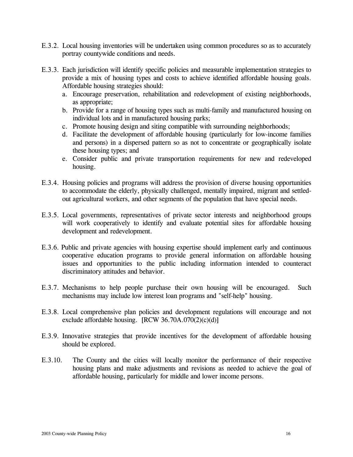- E.3.2. Local housing inventories will be undertaken using common procedures so as to accurately portray countywide conditions and needs.
- E.3.3. Each jurisdiction will identify specific policies and measurable implementation strategies to provide a mix of housing types and costs to achieve identified affordable housing goals. Affordable housing strategies should:
	- a. Encourage preservation, rehabilitation and redevelopment of existing neighborhoods, as appropriate;
	- b. Provide for a range of housing types such as multi-family and manufactured housing on individual lots and in manufactured housing parks;
	- c. Promote housing design and siting compatible with surrounding neighborhoods;
	- d. Facilitate the development of affordable housing (particularly for low-income families and persons) in a dispersed pattern so as not to concentrate or geographically isolate these housing types; and
	- e. Consider public and private transportation requirements for new and redeveloped housing.
- E.3.4. Housing policies and programs will address the provision of diverse housing opportunities to accommodate the elderly, physically challenged, mentally impaired, migrant and settledout agricultural workers, and other segments of the population that have special needs.
- E.3.5. Local governments, representatives of private sector interests and neighborhood groups will work cooperatively to identify and evaluate potential sites for affordable housing development and redevelopment.
- E.3.6. Public and private agencies with housing expertise should implement early and continuous cooperative education programs to provide general information on affordable housing issues and opportunities to the public including information intended to counteract discriminatory attitudes and behavior.
- E.3.7. Mechanisms to help people purchase their own housing will be encouraged. Such mechanisms may include low interest loan programs and "self-help" housing.
- E.3.8. Local comprehensive plan policies and development regulations will encourage and not exclude affordable housing.  $[RCW 36.70A.070(2)(c)(d)]$
- E.3.9. Innovative strategies that provide incentives for the development of affordable housing should be explored.
- E.3.10. The County and the cities will locally monitor the performance of their respective housing plans and make adjustments and revisions as needed to achieve the goal of affordable housing, particularly for middle and lower income persons.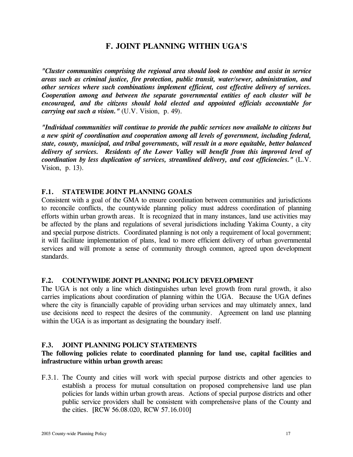#### **F. JOINT PLANNING WITHIN UGA'S**

*"Cluster communities comprising the regional area should look to combine and assist in service areas such as criminal justice, fire protection, public transit, water/sewer, administration, and other services where such combinations implement efficient, cost effective delivery of services. Cooperation among and between the separate governmental entities of each cluster will be encouraged, and the citizens should hold elected and appointed officials accountable for carrying out such a vision."* (U.V. Vision, p. 49).

*"Individual communities will continue to provide the public services now available to citizens but a new spirit of coordination and cooperation among all levels of government, including federal, state, county, municipal, and tribal governments, will result in a more equitable, better balanced delivery of services. Residents of the Lower Valley will benefit from this improved level of coordination by less duplication of services, streamlined delivery, and cost efficiencies."* (L.V. Vision, p. 13).

#### **F.1. STATEWIDE JOINT PLANNING GOALS**

Consistent with a goal of the GMA to ensure coordination between communities and jurisdictions to reconcile conflicts, the countywide planning policy must address coordination of planning efforts within urban growth areas. It is recognized that in many instances, land use activities may be affected by the plans and regulations of several jurisdictions including Yakima County, a city and special purpose districts. Coordinated planning is not only a requirement of local government; it will facilitate implementation of plans, lead to more efficient delivery of urban governmental services and will promote a sense of community through common, agreed upon development standards.

#### **F.2. COUNTYWIDE JOINT PLANNING POLICY DEVELOPMENT**

The UGA is not only a line which distinguishes urban level growth from rural growth, it also carries implications about coordination of planning within the UGA. Because the UGA defines where the city is financially capable of providing urban services and may ultimately annex, land use decisions need to respect the desires of the community. Agreement on land use planning within the UGA is as important as designating the boundary itself.

#### **F.3. JOINT PLANNING POLICY STATEMENTS**

#### **The following policies relate to coordinated planning for land use, capital facilities and infrastructure within urban growth areas:**

F.3.1. The County and cities will work with special purpose districts and other agencies to establish a process for mutual consultation on proposed comprehensive land use plan policies for lands within urban growth areas. Actions of special purpose districts and other public service providers shall be consistent with comprehensive plans of the County and the cities. [RCW 56.08.020, RCW 57.16.010]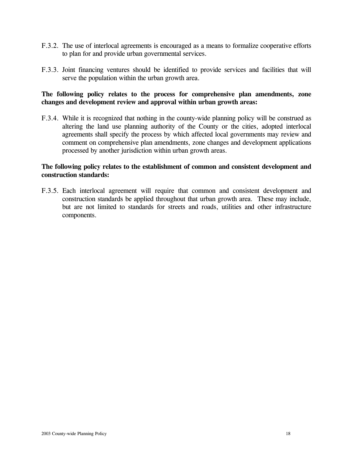- F.3.2. The use of interlocal agreements is encouraged as a means to formalize cooperative efforts to plan for and provide urban governmental services.
- F.3.3. Joint financing ventures should be identified to provide services and facilities that will serve the population within the urban growth area.

#### **The following policy relates to the process for comprehensive plan amendments, zone changes and development review and approval within urban growth areas:**

F.3.4. While it is recognized that nothing in the county-wide planning policy will be construed as altering the land use planning authority of the County or the cities, adopted interlocal agreements shall specify the process by which affected local governments may review and comment on comprehensive plan amendments, zone changes and development applications processed by another jurisdiction within urban growth areas.

#### **The following policy relates to the establishment of common and consistent development and construction standards:**

F.3.5. Each interlocal agreement will require that common and consistent development and construction standards be applied throughout that urban growth area. These may include, but are not limited to standards for streets and roads, utilities and other infrastructure components.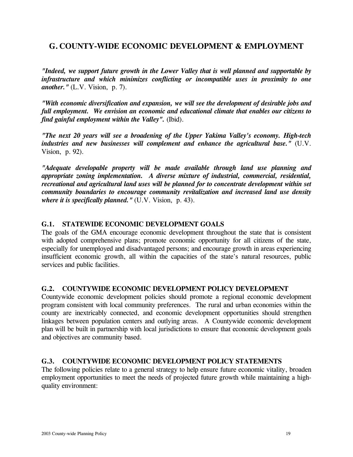#### **G. COUNTY-WIDE ECONOMIC DEVELOPMENT & EMPLOYMENT**

*"Indeed, we support future growth in the Lower Valley that is well planned and supportable by infrastructure and which minimizes conflicting or incompatible uses in proximity to one another."* (L.V. Vision, p. 7).

*"With economic diversification and expansion, we will see the development of desirable jobs and full employment. We envision an economic and educational climate that enables our citizens to find gainful employment within the Valley".* (Ibid).

*"The next 20 years will see a broadening of the Upper Yakima Valley's economy. High-tech industries and new businesses will complement and enhance the agricultural base."* (U.V. Vision, p. 92).

*"Adequate developable property will be made available through land use planning and appropriate zoning implementation. A diverse mixture of industrial, commercial, residential, recreational and agricultural land uses will be planned for to concentrate development within set community boundaries to encourage community revitalization and increased land use density where it is specifically planned."* (U.V. Vision, p. 43).

#### **G.1. STATEWIDE ECONOMIC DEVELOPMENT GOALS**

The goals of the GMA encourage economic development throughout the state that is consistent with adopted comprehensive plans; promote economic opportunity for all citizens of the state, especially for unemployed and disadvantaged persons; and encourage growth in areas experiencing insufficient economic growth, all within the capacities of the state's natural resources, public services and public facilities.

#### **G.2. COUNTYWIDE ECONOMIC DEVELOPMENT POLICY DEVELOPMENT**

Countywide economic development policies should promote a regional economic development program consistent with local community preferences. The rural and urban economies within the county are inextricably connected, and economic development opportunities should strengthen linkages between population centers and outlying areas. A Countywide economic development plan will be built in partnership with local jurisdictions to ensure that economic development goals and objectives are community based.

#### **G.3. COUNTYWIDE ECONOMIC DEVELOPMENT POLICY STATEMENTS**

The following policies relate to a general strategy to help ensure future economic vitality, broaden employment opportunities to meet the needs of projected future growth while maintaining a highquality environment: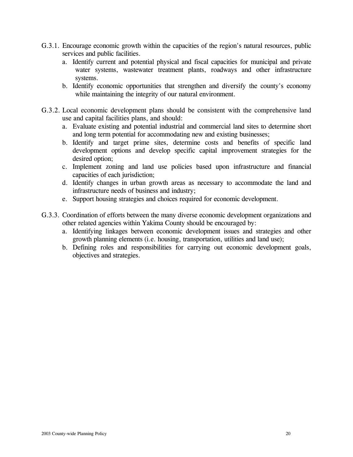- G.3.1. Encourage economic growth within the capacities of the region's natural resources, public services and public facilities.
	- a. Identify current and potential physical and fiscal capacities for municipal and private water systems, wastewater treatment plants, roadways and other infrastructure systems.
	- b. Identify economic opportunities that strengthen and diversify the county's economy while maintaining the integrity of our natural environment.
- G.3.2. Local economic development plans should be consistent with the comprehensive land use and capital facilities plans, and should:
	- a. Evaluate existing and potential industrial and commercial land sites to determine short and long term potential for accommodating new and existing businesses;
	- b. Identify and target prime sites, determine costs and benefits of specific land development options and develop specific capital improvement strategies for the desired option;
	- c. Implement zoning and land use policies based upon infrastructure and financial capacities of each jurisdiction;
	- d. Identify changes in urban growth areas as necessary to accommodate the land and infrastructure needs of business and industry;
	- e. Support housing strategies and choices required for economic development.
- G.3.3. Coordination of efforts between the many diverse economic development organizations and other related agencies within Yakima County should be encouraged by:
	- a. Identifying linkages between economic development issues and strategies and other growth planning elements (i.e. housing, transportation, utilities and land use);
	- b. Defining roles and responsibilities for carrying out economic development goals, objectives and strategies.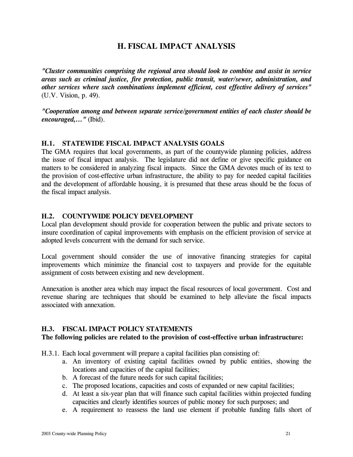#### **H. FISCAL IMPACT ANALYSIS**

*"Cluster communities comprising the regional area should look to combine and assist in service areas such as criminal justice, fire protection, public transit, water/sewer, administration, and other services where such combinations implement efficient, cost effective delivery of services"*  (U.V. Vision, p. 49).

*"Cooperation among and between separate service/government entities of each cluster should be encouraged,..."* (Ibid).

#### **H.1. STATEWIDE FISCAL IMPACT ANALYSIS GOALS**

The GMA requires that local governments, as part of the countywide planning policies, address the issue of fiscal impact analysis. The legislature did not define or give specific guidance on matters to be considered in analyzing fiscal impacts. Since the GMA devotes much of its text to the provision of cost-effective urban infrastructure, the ability to pay for needed capital facilities and the development of affordable housing, it is presumed that these areas should be the focus of the fiscal impact analysis.

#### **H.2. COUNTYWIDE POLICY DEVELOPMENT**

Local plan development should provide for cooperation between the public and private sectors to insure coordination of capital improvements with emphasis on the efficient provision of service at adopted levels concurrent with the demand for such service.

Local government should consider the use of innovative financing strategies for capital improvements which minimize the financial cost to taxpayers and provide for the equitable assignment of costs between existing and new development.

Annexation is another area which may impact the fiscal resources of local government. Cost and revenue sharing are techniques that should be examined to help alleviate the fiscal impacts associated with annexation.

#### **H.3. FISCAL IMPACT POLICY STATEMENTS**

#### **The following policies are related to the provision of cost-effective urban infrastructure:**

H.3.1. Each local government will prepare a capital facilities plan consisting of:

- a. An inventory of existing capital facilities owned by public entities, showing the locations and capacities of the capital facilities;
- b. A forecast of the future needs for such capital facilities;
- c. The proposed locations, capacities and costs of expanded or new capital facilities;
- d. At least a six-year plan that will finance such capital facilities within projected funding capacities and clearly identifies sources of public money for such purposes; and
- e. A requirement to reassess the land use element if probable funding falls short of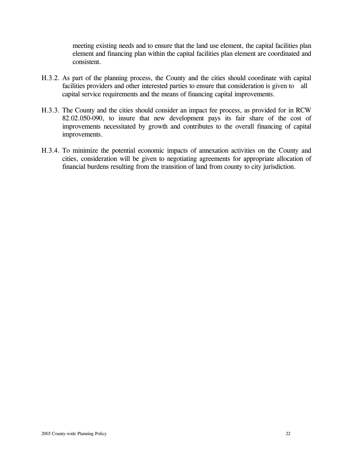meeting existing needs and to ensure that the land use element, the capital facilities plan element and financing plan within the capital facilities plan element are coordinated and consistent.

- H.3.2. As part of the planning process, the County and the cities should coordinate with capital facilities providers and other interested parties to ensure that consideration is given to all capital service requirements and the means of financing capital improvements.
- H.3.3. The County and the cities should consider an impact fee process, as provided for in RCW 82.02.050-090, to insure that new development pays its fair share of the cost of improvements necessitated by growth and contributes to the overall financing of capital improvements.
- H.3.4. To minimize the potential economic impacts of annexation activities on the County and cities, consideration will be given to negotiating agreements for appropriate allocation of financial burdens resulting from the transition of land from county to city jurisdiction.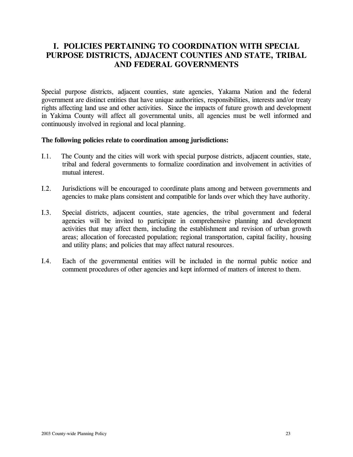#### **I. POLICIES PERTAINING TO COORDINATION WITH SPECIAL PURPOSE DISTRICTS, ADJACENT COUNTIES AND STATE, TRIBAL AND FEDERAL GOVERNMENTS**

Special purpose districts, adjacent counties, state agencies, Yakama Nation and the federal government are distinct entities that have unique authorities, responsibilities, interests and/or treaty rights affecting land use and other activities. Since the impacts of future growth and development in Yakima County will affect all governmental units, all agencies must be well informed and continuously involved in regional and local planning.

#### **The following policies relate to coordination among jurisdictions:**

- I.1. The County and the cities will work with special purpose districts, adjacent counties, state, tribal and federal governments to formalize coordination and involvement in activities of mutual interest.
- I.2. Jurisdictions will be encouraged to coordinate plans among and between governments and agencies to make plans consistent and compatible for lands over which they have authority.
- I.3. Special districts, adjacent counties, state agencies, the tribal government and federal agencies will be invited to participate in comprehensive planning and development activities that may affect them, including the establishment and revision of urban growth areas; allocation of forecasted population; regional transportation, capital facility, housing and utility plans; and policies that may affect natural resources.
- I.4. Each of the governmental entities will be included in the normal public notice and comment procedures of other agencies and kept informed of matters of interest to them.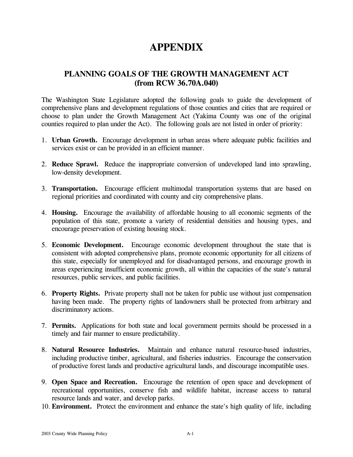## **APPENDIX**

#### **PLANNING GOALS OF THE GROWTH MANAGEMENT ACT (from RCW 36.70A.040)**

The Washington State Legislature adopted the following goals to guide the development of comprehensive plans and development regulations of those counties and cities that are required or choose to plan under the Growth Management Act (Yakima County was one of the original counties required to plan under the Act). The following goals are not listed in order of priority:

- 1. **Urban Growth.** Encourage development in urban areas where adequate public facilities and services exist or can be provided in an efficient manner.
- 2. **Reduce Sprawl.** Reduce the inappropriate conversion of undeveloped land into sprawling, low-density development.
- 3. **Transportation.** Encourage efficient multimodal transportation systems that are based on regional priorities and coordinated with county and city comprehensive plans.
- 4. **Housing.** Encourage the availability of affordable housing to all economic segments of the population of this state, promote a variety of residential densities and housing types, and encourage preservation of existing housing stock.
- 5. **Economic Development.** Encourage economic development throughout the state that is consistent with adopted comprehensive plans, promote economic opportunity for all citizens of this state, especially for unemployed and for disadvantaged persons, and encourage growth in areas experiencing insufficient economic growth, all within the capacities of the state's natural resources, public services, and public facilities.
- 6. **Property Rights.** Private property shall not be taken for public use without just compensation having been made. The property rights of landowners shall be protected from arbitrary and discriminatory actions.
- 7. **Permits.** Applications for both state and local government permits should be processed in a timely and fair manner to ensure predictability.
- 8. **Natural Resource Industries.** Maintain and enhance natural resource-based industries, including productive timber, agricultural, and fisheries industries. Encourage the conservation of productive forest lands and productive agricultural lands, and discourage incompatible uses.
- 9. **Open Space and Recreation.** Encourage the retention of open space and development of recreational opportunities, conserve fish and wildlife habitat, increase access to natural resource lands and water, and develop parks.
- 10. **Environment.** Protect the environment and enhance the state's high quality of life, including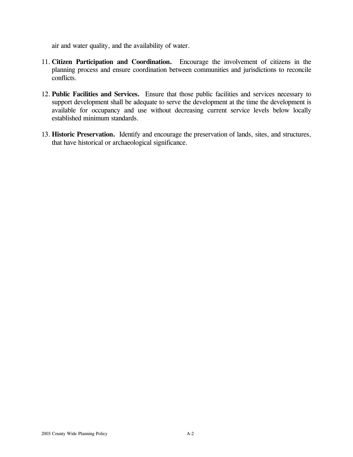air and water quality, and the availability of water.

- 11. **Citizen Participation and Coordination.** Encourage the involvement of citizens in the planning process and ensure coordination between communities and jurisdictions to reconcile conflicts.
- 12. **Public Facilities and Services.** Ensure that those public facilities and services necessary to support development shall be adequate to serve the development at the time the development is available for occupancy and use without decreasing current service levels below locally established minimum standards.
- 13. **Historic Preservation.** Identify and encourage the preservation of lands, sites, and structures, that have historical or archaeological significance.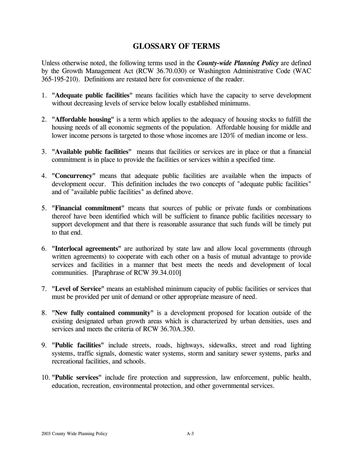#### **GLOSSARY OF TERMS**

Unless otherwise noted, the following terms used in the *County-wide Planning Policy* are defined by the Growth Management Act (RCW 36.70.030) or Washington Administrative Code (WAC 365-195-210). Definitions are restated here for convenience of the reader.

- 1. **"Adequate public facilities"** means facilities which have the capacity to serve development without decreasing levels of service below locally established minimums.
- 2. **"Affordable housing"** is a term which applies to the adequacy of housing stocks to fulfill the housing needs of all economic segments of the population. Affordable housing for middle and lower income persons is targeted to those whose incomes are 120% of median income or less.
- 3. **"Available public facilities"** means that facilities or services are in place or that a financial commitment is in place to provide the facilities or services within a specified time.
- 4. **"Concurrency"** means that adequate public facilities are available when the impacts of development occur. This definition includes the two concepts of "adequate public facilities" and of "available public facilities" as defined above.
- 5. **"Financial commitment"** means that sources of public or private funds or combinations thereof have been identified which will be sufficient to finance public facilities necessary to support development and that there is reasonable assurance that such funds will be timely put to that end.
- 6. **"Interlocal agreements"** are authorized by state law and allow local governments (through written agreements) to cooperate with each other on a basis of mutual advantage to provide services and facilities in a manner that best meets the needs and development of local communities. [Paraphrase of RCW 39.34.010]
- 7. **"Level of Service"** means an established minimum capacity of public facilities or services that must be provided per unit of demand or other appropriate measure of need.
- 8. **"New fully contained community"** is a development proposed for location outside of the existing designated urban growth areas which is characterized by urban densities, uses and services and meets the criteria of RCW 36.70A.350.
- 9. **"Public facilities"** include streets, roads, highways, sidewalks, street and road lighting systems, traffic signals, domestic water systems, storm and sanitary sewer systems, parks and recreational facilities, and schools.
- 10. **"Public services"** include fire protection and suppression, law enforcement, public health, education, recreation, environmental protection, and other governmental services.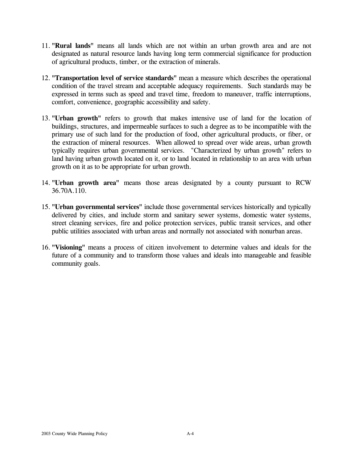- 11. **"Rural lands"** means all lands which are not within an urban growth area and are not designated as natural resource lands having long term commercial significance for production of agricultural products, timber, or the extraction of minerals.
- 12. **"Transportation level of service standards"** mean a measure which describes the operational condition of the travel stream and acceptable adequacy requirements. Such standards may be expressed in terms such as speed and travel time, freedom to maneuver, traffic interruptions, comfort, convenience, geographic accessibility and safety.
- 13. **"Urban growth"** refers to growth that makes intensive use of land for the location of buildings, structures, and impermeable surfaces to such a degree as to be incompatible with the primary use of such land for the production of food, other agricultural products, or fiber, or the extraction of mineral resources. When allowed to spread over wide areas, urban growth typically requires urban governmental services. "Characterized by urban growth" refers to land having urban growth located on it, or to land located in relationship to an area with urban growth on it as to be appropriate for urban growth.
- 14. **"Urban growth area"** means those areas designated by a county pursuant to RCW 36.70A.110.
- 15. **"Urban governmental services"** include those governmental services historically and typically delivered by cities, and include storm and sanitary sewer systems, domestic water systems, street cleaning services, fire and police protection services, public transit services, and other public utilities associated with urban areas and normally not associated with nonurban areas.
- 16. **"Visioning"** means a process of citizen involvement to determine values and ideals for the future of a community and to transform those values and ideals into manageable and feasible community goals.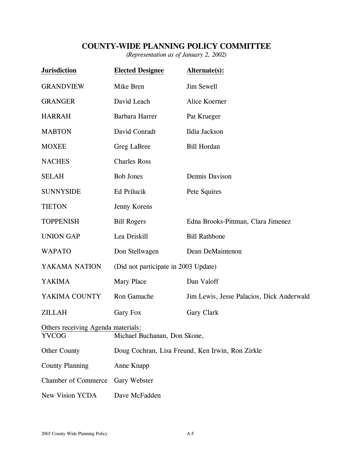#### **COUNTY-WIDE PLANNING POLICY COMMITTEE**

*(Representation as of January 2, 2002)* 

| <b>Jurisdiction</b>                | <b>Elected Designee</b>                          | Alternate(s):                             |  |  |
|------------------------------------|--------------------------------------------------|-------------------------------------------|--|--|
| <b>GRANDVIEW</b>                   | Mike Bren                                        | Jim Sewell                                |  |  |
| <b>GRANGER</b>                     | David Leach                                      | Alice Koerner                             |  |  |
| <b>HARRAH</b>                      | Barbara Harrer                                   | Pat Krueger                               |  |  |
| <b>MABTON</b>                      | David Conradt                                    | Ildia Jackson                             |  |  |
| <b>MOXEE</b>                       | Greg LaBree                                      | <b>Bill Hordan</b>                        |  |  |
| <b>NACHES</b>                      | <b>Charles Ross</b>                              |                                           |  |  |
| <b>SELAH</b>                       | <b>Bob Jones</b>                                 | Dennis Davison                            |  |  |
| <b>SUNNYSIDE</b>                   | Ed Prilucik                                      | Pete Squires                              |  |  |
| <b>TIETON</b>                      | Jenny Korens                                     |                                           |  |  |
| <b>TOPPENISH</b>                   | <b>Bill Rogers</b>                               | Edna Brooks-Pittman, Clara Jimenez        |  |  |
| <b>UNION GAP</b>                   | Lea Driskill                                     | <b>Bill Rathbone</b>                      |  |  |
| <b>WAPATO</b>                      | Don Stellwagen                                   | Dean DeMaintenon                          |  |  |
| YAKAMA NATION                      | (Did not participate in 2003 Update)             |                                           |  |  |
| <b>YAKIMA</b>                      | <b>Mary Place</b>                                | Dan Valoff                                |  |  |
| YAKIMA COUNTY                      | Ron Gamache                                      | Jim Lewis, Jesse Palacios, Dick Anderwald |  |  |
| <b>ZILLAH</b>                      | Gary Fox                                         | Gary Clark                                |  |  |
| Others receiving Agenda materials: |                                                  |                                           |  |  |
| <b>YVCOG</b>                       | Michael Buchanan, Don Skone,                     |                                           |  |  |
| <b>Other County</b>                | Doug Cochran, Lisa Freund, Ken Irwin, Ron Zirkle |                                           |  |  |
| <b>County Planning</b>             | Anne Knapp                                       |                                           |  |  |
| <b>Chamber of Commerce</b>         | Gary Webster                                     |                                           |  |  |
| New Vision YCDA                    | Dave McFadden                                    |                                           |  |  |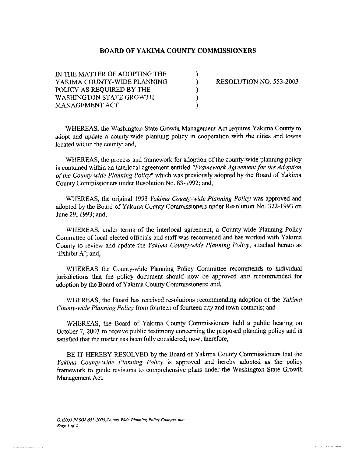#### **BOARD OF YAKIMA COUNTY COMMISSIONERS**

IN THE MATTER OF ADOPTING THE  $\left( \begin{array}{ccc} 1 & 1 \\ 1 & 1 \end{array} \right)$ YAKIMA COUNTY-WIDE PLANNING  $\overline{X}$  RESOLUTION NO. 553-2003 POLICY AS REQUIRED BY THE 1 WASHINGTON STATE GROWTH MANAGEMENT ACT

للمسترجل ومحصصات المتدادين

WHEREAS, the Washington State Growth Management Act requires Yakima County to adopt and update a county-wide planning policy in cooperation with the cities and towns located within the county; and,

WHEREAS, the process and framework for adoption of the county-wide planning policy is contained within an interlocal agreement entitled "Framework Agreement for the Adoption *of the County-wide Planning Policy"* which was previously adopted by the Board of Yakima County Commissioners under Resolution No. 83-1992; and,

WHEREAS, the original 1993 *Yakima County-wide Planning Policy* was approved and adopted by the Board of Yakima County Commissioners under Resolution No. 322-1993 on June 29,1993; and,

WHEREAS, under terms of the interlocal agreement, a County-wide Planning Policy Committee of local elected officials and staff was reconvened and has worked with Yakima County to review and update the *Yakima County-wide Planning Policy,* attached hereto as 'Exhibit A'; and,

WHEREAS the County-wide Planning Policy Committee recommends **to** individual jurisdictions that the policy document should now be approved and recommended for adoption by the Board of Yakima County Commissioners; and,

WHEREAS, the Board has received resolutions recommending adoption of the *Yakima County-wide Planning Policy* from fourteen of fourteen city and town councils; and

WHEREAS, the Board of Yakima County Commissioners held a public hearing on October 7, 2003 to receive public testimony concerning the proposed planning policy and is satisfied that the matter has been fully considered; now, therefore,

BE IT HEREBY RESOLVED by the Board of Yakima County Commissioners that the *Yakima County-wide Planning Policy* is approved and hereby adopted **as** the policy framework to guide revisions to comprehensive plans under the Washington State Growth Management Act.

-.